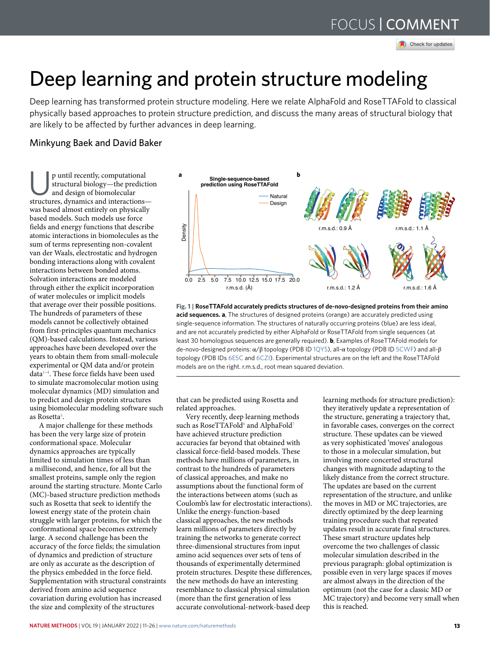# FOCUS | **[comment](http://crossmark.crossref.org/dialog/?doi=10.1038/s41592-021-01360-8&domain=pdf)** FOCUS | comment

Check for updates

## Deep learning and protein structure modeling

Deep learning has transformed protein structure modeling. Here we relate AlphaFold and RoseTTAFold to classical physically based approaches to protein structure prediction, and discuss the many areas of structural biology that are likely to be affected by further advances in deep learning.

## Minkyung Baek and David Baker

p until recently, computational structural biology—the prediction and design of biomolecular structures, dynamics and interactions was based almost entirely on physically based models. Such models use force fields and energy functions that describe atomic interactions in biomolecules as the sum of terms representing non-covalent van der Waals, electrostatic and hydrogen bonding interactions along with covalent interactions between bonded atoms. Solvation interactions are modeled through either the explicit incorporation of water molecules or implicit models that average over their possible positions. The hundreds of parameters of these models cannot be collectively obtained from first-principles quantum mechanics (QM)-based calculations. Instead, various approaches have been developed over the years to obtain them from small-molecule experimental or QM data and/or protein data1–4 . These force fields have been used to simulate macromolecular motion using molecular dynamics (MD) simulation and to predict and design protein structures using biomolecular modeling software such as Rosetta<sup>5</sup>.

A major challenge for these methods has been the very large size of protein conformational space. Molecular dynamics approaches are typically limited to simulation times of less than a millisecond, and hence, for all but the smallest proteins, sample only the region around the starting structure. Monte Carlo (MC)-based structure prediction methods such as Rosetta that seek to identify the lowest energy state of the protein chain struggle with larger proteins, for which the conformational space becomes extremely large. A second challenge has been the accuracy of the force fields; the simulation of dynamics and prediction of structure are only as accurate as the description of the physics embedded in the force field. Supplementation with structural constraints derived from amino acid sequence covariation during evolution has increased the size and complexity of the structures



**Fig. 1 | RoseTTAFold accurately predicts structures of de-novo-designed proteins from their amino acid sequences. a**, The structures of designed proteins (orange) are accurately predicted using single-sequence information. The structures of naturally occurring proteins (blue) are less ideal, and are not accurately predicted by either AlphaFold or RoseTTAFold from single sequences (at least 30 homologous sequences are generally required). **b**, Examples of RoseTTAFold models for de-novo-designed proteins: α/β topology (PDB ID [1QYS](https://www.rcsb.org/structure/1QYS)), all-α topology (PDB ID [5CWF\)](https://www.rcsb.org/structure/5CWF) and all-β topology (PDB IDs [6E5C](https://www.rcsb.org/structure/6E5C) and [6CZI](https://www.rcsb.org/structure/6CZI)). Experimental structures are on the left and the RoseTTAFold models are on the right. r.m.s.d., root mean squared deviation.

that can be predicted using Rosetta and related approaches.

Very recently, deep learning methods such as RoseTTAFold<sup>6</sup> and AlphaFold<sup>7</sup> have achieved structure prediction accuracies far beyond that obtained with classical force-field-based models. These methods have millions of parameters, in contrast to the hundreds of parameters of classical approaches, and make no assumptions about the functional form of the interactions between atoms (such as Coulomb's law for electrostatic interactions). Unlike the energy-function-based classical approaches, the new methods learn millions of parameters directly by training the networks to generate correct three-dimensional structures from input amino acid sequences over sets of tens of thousands of experimentally determined protein structures. Despite these differences, the new methods do have an interesting resemblance to classical physical simulation (more than the first generation of less accurate convolutional-network-based deep

learning methods for structure prediction): they iteratively update a representation of the structure, generating a trajectory that, in favorable cases, converges on the correct structure. These updates can be viewed as very sophisticated 'moves' analogous to those in a molecular simulation, but involving more concerted structural changes with magnitude adapting to the likely distance from the correct structure. The updates are based on the current representation of the structure, and unlike the moves in MD or MC trajectories, are directly optimized by the deep learning training procedure such that repeated updates result in accurate final structures. These smart structure updates help overcome the two challenges of classic molecular simulation described in the previous paragraph: global optimization is possible even in very large spaces if moves are almost always in the direction of the optimum (not the case for a classic MD or MC trajectory) and become very small when this is reached.